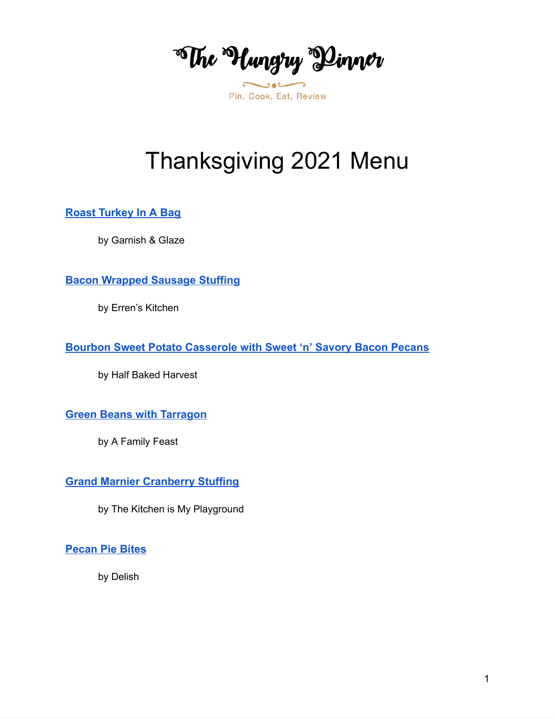**Whe Hungry Dinner** 

# Thanksgiving 2021 Menu

**Roast [Turkey](https://www.garnishandglaze.com/roast-turkey-in-a-bag-recipe/) In A Bag**

by Garnish & Glaze

**Bacon [Wrapped](https://www.errenskitchen.com/bacon-wrapped-sage-sausage-stuffing) Sausage Stuffing**

by Erren's Kitchen

**Bourbon Sweet Potato [Casserole](https://www.halfbakedharvest.com/bourbon-sweet-potato-casserole-sweet-n-savory-bacon-pecans/) with Sweet 'n' Savory Bacon Pecans**

by Half Baked Harvest

**Green Beans with [Tarragon](https://www.afamilyfeast.com/green-beans-with-tarragon/)**

by A Family Feast

**Grand Marnier [Cranberry](https://www.thekitchenismyplayground.com/2015/11/grand-marnier-cranberry-sauce.html) Stuffing**

by The Kitchen is My Playground

**[Pecan](https://www.delish.com/holiday-recipes/thanksgiving/a29932815/pecan-pie-bites-recipe/) Pie Bites**

by Delish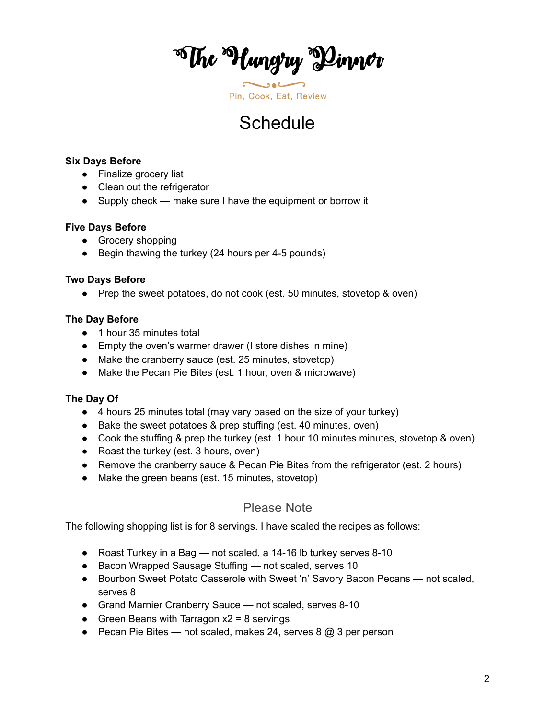\*The \*Hungry \*Dinner

## **Schedule**

#### **Six Days Before**

- Finalize grocery list
- Clean out the refrigerator
- Supply check make sure I have the equipment or borrow it

#### **Five Days Before**

- Grocery shopping
- Begin thawing the turkey (24 hours per 4-5 pounds)

#### **Two Days Before**

● Prep the sweet potatoes, do not cook (est. 50 minutes, stovetop & oven)

#### **The Day Before**

- 1 hour 35 minutes total
- Empty the oven's warmer drawer (I store dishes in mine)
- Make the cranberry sauce (est. 25 minutes, stovetop)
- Make the Pecan Pie Bites (est. 1 hour, oven & microwave)

#### **The Day Of**

- 4 hours 25 minutes total (may vary based on the size of your turkey)
- Bake the sweet potatoes & prep stuffing (est. 40 minutes, oven)
- Cook the stuffing & prep the turkey (est. 1 hour 10 minutes minutes, stovetop & oven)
- Roast the turkey (est. 3 hours, oven)
- Remove the cranberry sauce & Pecan Pie Bites from the refrigerator (est. 2 hours)
- Make the green beans (est. 15 minutes, stovetop)

### Please Note

The following shopping list is for 8 servings. I have scaled the recipes as follows:

- Roast Turkey in a Bag not scaled, a 14-16 lb turkey serves 8-10
- Bacon Wrapped Sausage Stuffing not scaled, serves 10
- Bourbon Sweet Potato Casserole with Sweet 'n' Savory Bacon Pecans not scaled, serves 8
- Grand Marnier Cranberry Sauce not scaled, serves 8-10
- Green Beans with Tarragon  $x^2 = 8$  servings
- Pecan Pie Bites not scaled, makes 24, serves  $8 \text{ } \textcircled{a} 3$  per person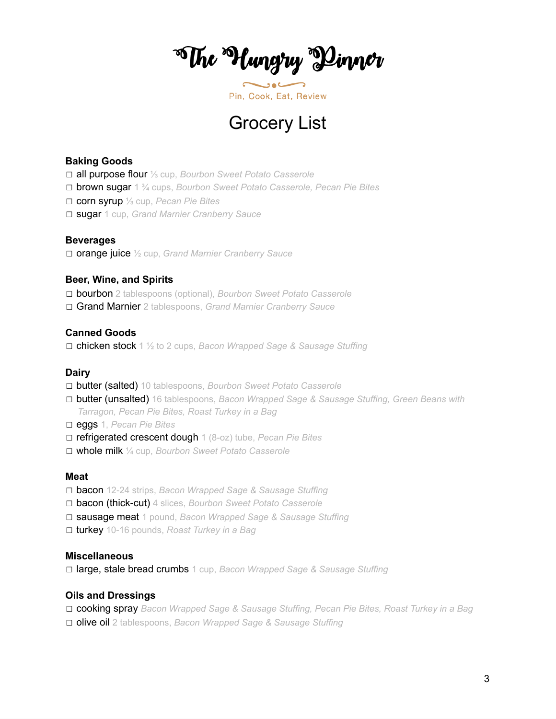\*The \*Hungry \*Dinner

### Grocery List

#### **Baking Goods**

☐ all purpose flour ⅓ cup, *Bourbon Sweet Potato Casserole*

☐ brown sugar 1 ¾ cups, *Bourbon Sweet Potato Casserole, Pecan Pie Bites*

☐ corn syrup ⅓ cup, *Pecan Pie Bites*

☐ sugar 1 cup, *Grand Marnier Cranberry Sauce*

#### **Beverages**

☐ orange juice ½ cup, *Grand Marnier Cranberry Sauce*

#### **Beer, Wine, and Spirits**

☐ bourbon 2 tablespoons (optional), *Bourbon Sweet Potato Casserole* ☐ Grand Marnier 2 tablespoons, *Grand Marnier Cranberry Sauce*

#### **Canned Goods**

☐ chicken stock 1 ½ to 2 cups, *Bacon Wrapped Sage & Sausage Stuffing*

#### **Dairy**

- ☐ butter (salted) 10 tablespoons, *Bourbon Sweet Potato Casserole*
- ☐ butter (unsalted) 16 tablespoons, *Bacon Wrapped Sage & Sausage Stuffing, Green Beans with Tarragon, Pecan Pie Bites, Roast Turkey in a Bag*
- ☐ eggs 1, *Pecan Pie Bites*
- ☐ refrigerated crescent dough 1 (8-oz) tube, *Pecan Pie Bites*
- ☐ whole milk ¼ cup, *Bourbon Sweet Potato Casserole*

#### **Meat**

- ☐ bacon 12-24 strips, *Bacon Wrapped Sage & Sausage Stuffing*
- ☐ bacon (thick-cut) 4 slices, *Bourbon Sweet Potato Casserole*
- ☐ sausage meat 1 pound, *Bacon Wrapped Sage & Sausage Stuffing*
- ☐ turkey 10-16 pounds, *Roast Turkey in a Bag*

#### **Miscellaneous**

☐ large, stale bread crumbs 1 cup, *Bacon Wrapped Sage & Sausage Stuffing*

#### **Oils and Dressings**

☐ cooking spray *Bacon Wrapped Sage & Sausage Stuffing, Pecan Pie Bites, Roast Turkey in a Bag* ☐ olive oil 2 tablespoons, *Bacon Wrapped Sage & Sausage Stuffing*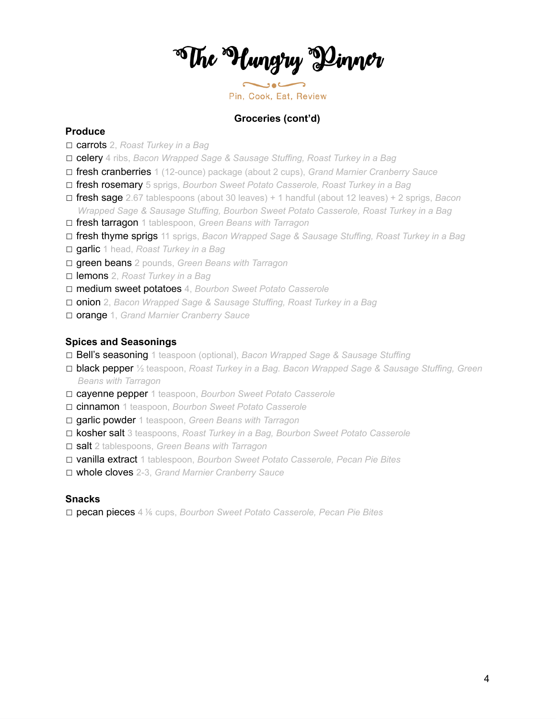\*The \*Hungry \*Dinner

Pin, Cook, Eat, Review

#### **Groceries (cont'd)**

#### **Produce**

- ☐ carrots 2, *Roast Turkey in a Bag*
- ☐ celery 4 ribs, *Bacon Wrapped Sage & Sausage Stuffing, Roast Turkey in a Bag*
- ☐ fresh cranberries 1 (12-ounce) package (about 2 cups), *Grand Marnier Cranberry Sauce*
- ☐ fresh rosemary 5 sprigs, *Bourbon Sweet Potato Casserole, Roast Turkey in a Bag*
- ☐ fresh sage 2.67 tablespoons (about 30 leaves) + 1 handful (about 12 leaves) + 2 sprigs, *Bacon Wrapped Sage & Sausage Stuffing, Bourbon Sweet Potato Casserole, Roast Turkey in a Bag*
- ☐ fresh tarragon 1 tablespoon, *Green Beans with Tarragon*
- ☐ fresh thyme sprigs 11 sprigs, *Bacon Wrapped Sage & Sausage Stuffing, Roast Turkey in a Bag*
- ☐ garlic 1 head, *Roast Turkey in a Bag*
- ☐ green beans 2 pounds, *Green Beans with Tarragon*
- ☐ lemons 2, *Roast Turkey in a Bag*
- ☐ medium sweet potatoes 4, *Bourbon Sweet Potato Casserole*
- ☐ onion 2, *Bacon Wrapped Sage & Sausage Stuffing, Roast Turkey in a Bag*
- ☐ orange 1, *Grand Marnier Cranberry Sauce*

#### **Spices and Seasonings**

- ☐ Bell's seasoning 1 teaspoon (optional), *Bacon Wrapped Sage & Sausage Stuffing*
- ☐ black pepper ½ teaspoon, *Roast Turkey in a Bag. Bacon Wrapped Sage & Sausage Stuffing, Green Beans with Tarragon*
- ☐ cayenne pepper 1 teaspoon, *Bourbon Sweet Potato Casserole*
- ☐ cinnamon 1 teaspoon, *Bourbon Sweet Potato Casserole*
- ☐ garlic powder 1 teaspoon, *Green Beans with Tarragon*
- ☐ kosher salt 3 teaspoons, *Roast Turkey in a Bag, Bourbon Sweet Potato Casserole*
- ☐ salt 2 tablespoons, *Green Beans with Tarragon*
- ☐ vanilla extract 1 tablespoon, *Bourbon Sweet Potato Casserole, Pecan Pie Bites*
- ☐ whole cloves 2-3, *Grand Marnier Cranberry Sauce*

#### **Snacks**

☐ pecan pieces 4 ⅙ cups, *Bourbon Sweet Potato Casserole, Pecan Pie Bites*